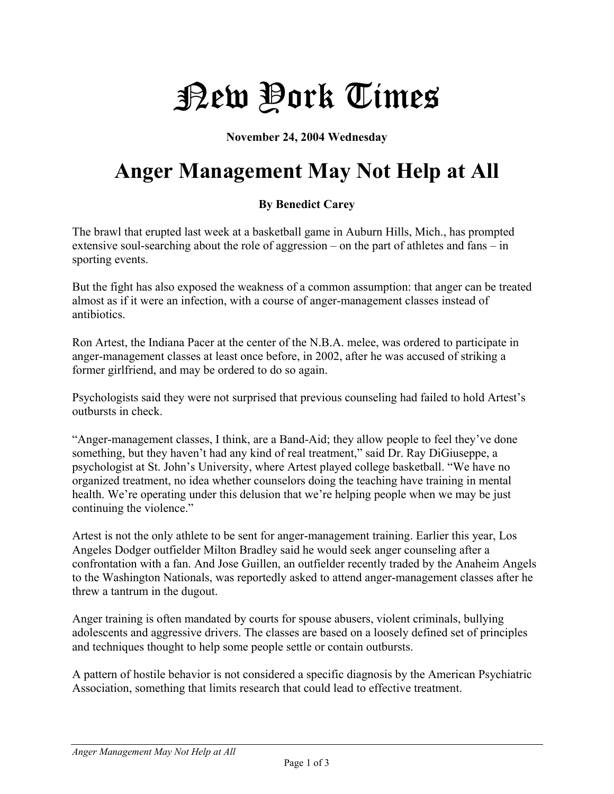## New York Times

**November 24, 2004 Wednesday** 

## **Anger Management May Not Help at All**

## **By Benedict Carey**

The brawl that erupted last week at a basketball game in Auburn Hills, Mich., has prompted extensive soul-searching about the role of aggression – on the part of athletes and fans – in sporting events.

But the fight has also exposed the weakness of a common assumption: that anger can be treated almost as if it were an infection, with a course of anger-management classes instead of antibiotics.

Ron Artest, the Indiana Pacer at the center of the N.B.A. melee, was ordered to participate in anger-management classes at least once before, in 2002, after he was accused of striking a former girlfriend, and may be ordered to do so again.

Psychologists said they were not surprised that previous counseling had failed to hold Artest's outbursts in check.

"Anger-management classes, I think, are a Band-Aid; they allow people to feel they've done something, but they haven't had any kind of real treatment," said Dr. Ray DiGiuseppe, a psychologist at St. John's University, where Artest played college basketball. "We have no organized treatment, no idea whether counselors doing the teaching have training in mental health. We're operating under this delusion that we're helping people when we may be just continuing the violence."

Artest is not the only athlete to be sent for anger-management training. Earlier this year, Los Angeles Dodger outfielder Milton Bradley said he would seek anger counseling after a confrontation with a fan. And Jose Guillen, an outfielder recently traded by the Anaheim Angels to the Washington Nationals, was reportedly asked to attend anger-management classes after he threw a tantrum in the dugout.

Anger training is often mandated by courts for spouse abusers, violent criminals, bullying adolescents and aggressive drivers. The classes are based on a loosely defined set of principles and techniques thought to help some people settle or contain outbursts.

A pattern of hostile behavior is not considered a specific diagnosis by the American Psychiatric Association, something that limits research that could lead to effective treatment.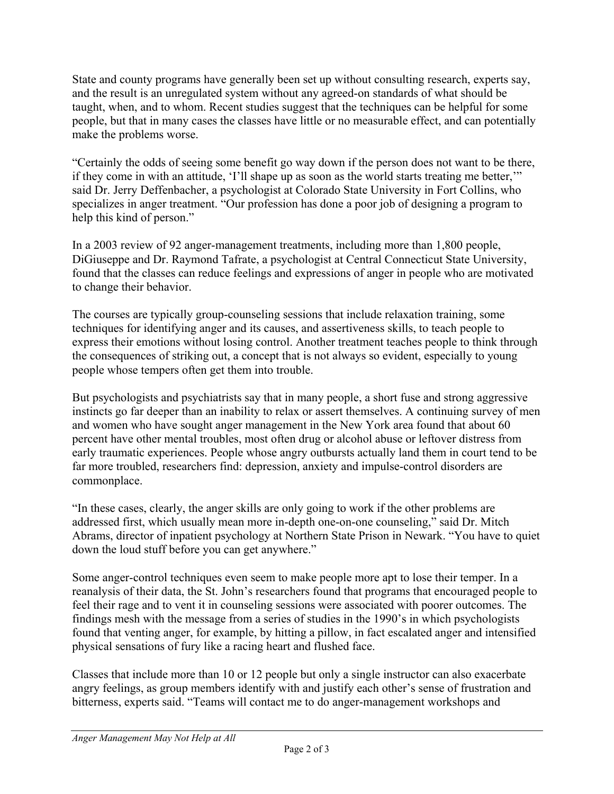State and county programs have generally been set up without consulting research, experts say, and the result is an unregulated system without any agreed-on standards of what should be taught, when, and to whom. Recent studies suggest that the techniques can be helpful for some people, but that in many cases the classes have little or no measurable effect, and can potentially make the problems worse.

"Certainly the odds of seeing some benefit go way down if the person does not want to be there, if they come in with an attitude, 'I'll shape up as soon as the world starts treating me better,'" said Dr. Jerry Deffenbacher, a psychologist at Colorado State University in Fort Collins, who specializes in anger treatment. "Our profession has done a poor job of designing a program to help this kind of person."

In a 2003 review of 92 anger-management treatments, including more than 1,800 people, DiGiuseppe and Dr. Raymond Tafrate, a psychologist at Central Connecticut State University, found that the classes can reduce feelings and expressions of anger in people who are motivated to change their behavior.

The courses are typically group-counseling sessions that include relaxation training, some techniques for identifying anger and its causes, and assertiveness skills, to teach people to express their emotions without losing control. Another treatment teaches people to think through the consequences of striking out, a concept that is not always so evident, especially to young people whose tempers often get them into trouble.

But psychologists and psychiatrists say that in many people, a short fuse and strong aggressive instincts go far deeper than an inability to relax or assert themselves. A continuing survey of men and women who have sought anger management in the New York area found that about 60 percent have other mental troubles, most often drug or alcohol abuse or leftover distress from early traumatic experiences. People whose angry outbursts actually land them in court tend to be far more troubled, researchers find: depression, anxiety and impulse-control disorders are commonplace.

"In these cases, clearly, the anger skills are only going to work if the other problems are addressed first, which usually mean more in-depth one-on-one counseling," said Dr. Mitch Abrams, director of inpatient psychology at Northern State Prison in Newark. "You have to quiet down the loud stuff before you can get anywhere."

Some anger-control techniques even seem to make people more apt to lose their temper. In a reanalysis of their data, the St. John's researchers found that programs that encouraged people to feel their rage and to vent it in counseling sessions were associated with poorer outcomes. The findings mesh with the message from a series of studies in the 1990's in which psychologists found that venting anger, for example, by hitting a pillow, in fact escalated anger and intensified physical sensations of fury like a racing heart and flushed face.

Classes that include more than 10 or 12 people but only a single instructor can also exacerbate angry feelings, as group members identify with and justify each other's sense of frustration and bitterness, experts said. "Teams will contact me to do anger-management workshops and